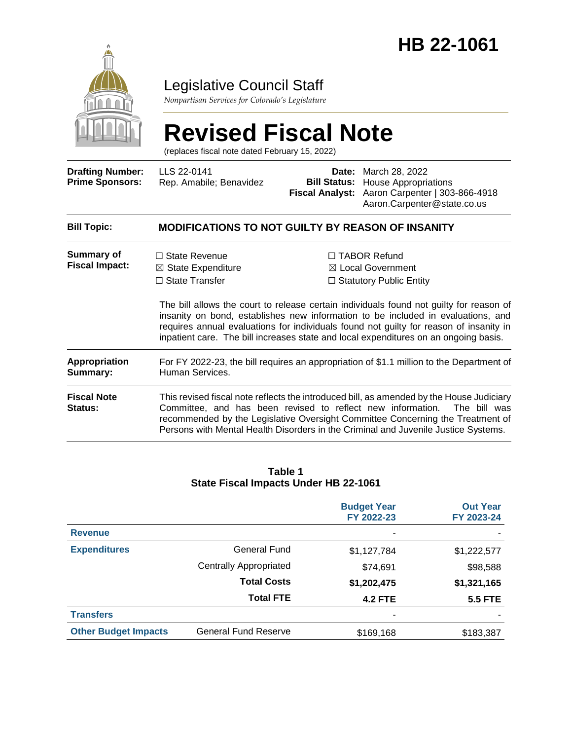

# Legislative Council Staff

*Nonpartisan Services for Colorado's Legislature*

# **Revised Fiscal Note**

(replaces fiscal note dated February 15, 2022)

| <b>Drafting Number:</b><br><b>Prime Sponsors:</b> | LLS 22-0141<br>Rep. Amabile; Benavidez                                                                      | Date:<br><b>Bill Status:</b><br><b>Fiscal Analyst:</b> | March 28, 2022<br><b>House Appropriations</b><br>Aaron Carpenter   303-866-4918<br>Aaron.Carpenter@state.co.us                                                                                                                                                                                                                                                                                                                                         |  |  |  |
|---------------------------------------------------|-------------------------------------------------------------------------------------------------------------|--------------------------------------------------------|--------------------------------------------------------------------------------------------------------------------------------------------------------------------------------------------------------------------------------------------------------------------------------------------------------------------------------------------------------------------------------------------------------------------------------------------------------|--|--|--|
| <b>Bill Topic:</b>                                | <b>MODIFICATIONS TO NOT GUILTY BY REASON OF INSANITY</b>                                                    |                                                        |                                                                                                                                                                                                                                                                                                                                                                                                                                                        |  |  |  |
| Summary of<br><b>Fiscal Impact:</b>               | $\Box$ State Revenue<br>$\boxtimes$ State Expenditure<br>$\Box$ State Transfer                              |                                                        | $\Box$ TABOR Refund<br>$\boxtimes$ Local Government<br>$\Box$ Statutory Public Entity<br>The bill allows the court to release certain individuals found not guilty for reason of<br>insanity on bond, establishes new information to be included in evaluations, and<br>requires annual evaluations for individuals found not guilty for reason of insanity in<br>inpatient care. The bill increases state and local expenditures on an ongoing basis. |  |  |  |
| <b>Appropriation</b><br>Summary:                  | For FY 2022-23, the bill requires an appropriation of \$1.1 million to the Department of<br>Human Services. |                                                        |                                                                                                                                                                                                                                                                                                                                                                                                                                                        |  |  |  |
| <b>Fiscal Note</b><br>Status:                     | Committee, and has been revised to reflect new information.                                                 |                                                        | This revised fiscal note reflects the introduced bill, as amended by the House Judiciary<br>The bill was<br>recommended by the Legislative Oversight Committee Concerning the Treatment of<br>Persons with Mental Health Disorders in the Criminal and Juvenile Justice Systems.                                                                                                                                                                       |  |  |  |
|                                                   |                                                                                                             |                                                        |                                                                                                                                                                                                                                                                                                                                                                                                                                                        |  |  |  |

#### **Table 1 State Fiscal Impacts Under HB 22-1061**

|                             |                               | <b>Budget Year</b><br>FY 2022-23 | <b>Out Year</b><br>FY 2023-24 |
|-----------------------------|-------------------------------|----------------------------------|-------------------------------|
| <b>Revenue</b>              |                               |                                  |                               |
| <b>Expenditures</b>         | General Fund                  | \$1,127,784                      | \$1,222,577                   |
|                             | <b>Centrally Appropriated</b> | \$74,691                         | \$98,588                      |
|                             | <b>Total Costs</b>            | \$1,202,475                      | \$1,321,165                   |
|                             | <b>Total FTE</b>              | <b>4.2 FTE</b>                   | <b>5.5 FTE</b>                |
| <b>Transfers</b>            |                               |                                  |                               |
| <b>Other Budget Impacts</b> | <b>General Fund Reserve</b>   | \$169,168                        | \$183,387                     |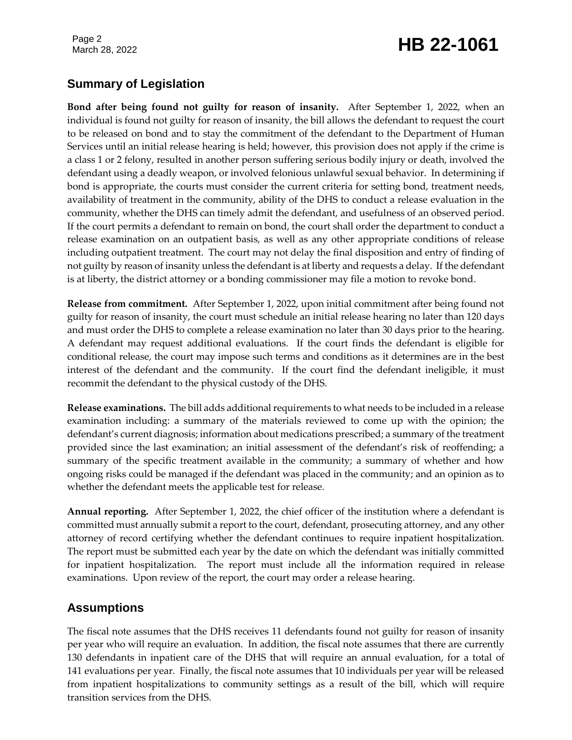Page 2

# March 28, 2022 **HB 22-1061**

# **Summary of Legislation**

**Bond after being found not guilty for reason of insanity.** After September 1, 2022, when an individual is found not guilty for reason of insanity, the bill allows the defendant to request the court to be released on bond and to stay the commitment of the defendant to the Department of Human Services until an initial release hearing is held; however, this provision does not apply if the crime is a class 1 or 2 felony, resulted in another person suffering serious bodily injury or death, involved the defendant using a deadly weapon, or involved felonious unlawful sexual behavior. In determining if bond is appropriate, the courts must consider the current criteria for setting bond, treatment needs, availability of treatment in the community, ability of the DHS to conduct a release evaluation in the community, whether the DHS can timely admit the defendant, and usefulness of an observed period. If the court permits a defendant to remain on bond, the court shall order the department to conduct a release examination on an outpatient basis, as well as any other appropriate conditions of release including outpatient treatment. The court may not delay the final disposition and entry of finding of not guilty by reason of insanity unless the defendant is at liberty and requests a delay. If the defendant is at liberty, the district attorney or a bonding commissioner may file a motion to revoke bond.

**Release from commitment.** After September 1, 2022, upon initial commitment after being found not guilty for reason of insanity, the court must schedule an initial release hearing no later than 120 days and must order the DHS to complete a release examination no later than 30 days prior to the hearing. A defendant may request additional evaluations. If the court finds the defendant is eligible for conditional release, the court may impose such terms and conditions as it determines are in the best interest of the defendant and the community. If the court find the defendant ineligible, it must recommit the defendant to the physical custody of the DHS.

**Release examinations.** The bill adds additional requirements to what needs to be included in a release examination including: a summary of the materials reviewed to come up with the opinion; the defendant's current diagnosis; information about medications prescribed; a summary of the treatment provided since the last examination; an initial assessment of the defendant's risk of reoffending; a summary of the specific treatment available in the community; a summary of whether and how ongoing risks could be managed if the defendant was placed in the community; and an opinion as to whether the defendant meets the applicable test for release.

**Annual reporting.** After September 1, 2022, the chief officer of the institution where a defendant is committed must annually submit a report to the court, defendant, prosecuting attorney, and any other attorney of record certifying whether the defendant continues to require inpatient hospitalization. The report must be submitted each year by the date on which the defendant was initially committed for inpatient hospitalization. The report must include all the information required in release examinations. Upon review of the report, the court may order a release hearing.

# **Assumptions**

The fiscal note assumes that the DHS receives 11 defendants found not guilty for reason of insanity per year who will require an evaluation. In addition, the fiscal note assumes that there are currently 130 defendants in inpatient care of the DHS that will require an annual evaluation, for a total of 141 evaluations per year. Finally, the fiscal note assumes that 10 individuals per year will be released from inpatient hospitalizations to community settings as a result of the bill, which will require transition services from the DHS.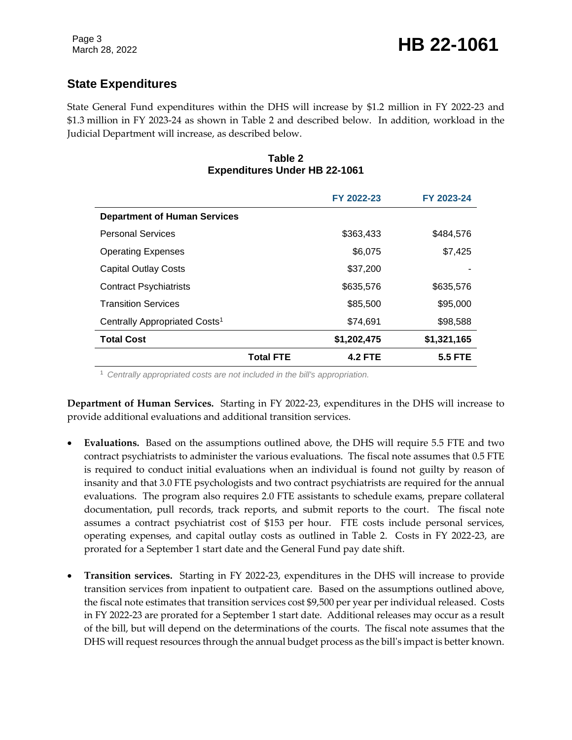# **State Expenditures**

State General Fund expenditures within the DHS will increase by \$1.2 million in FY 2022-23 and \$1.3 million in FY 2023-24 as shown in Table 2 and described below. In addition, workload in the Judicial Department will increase, as described below.

#### **Table 2 Expenditures Under HB 22-1061**

|                                           |                  | FY 2022-23     | FY 2023-24     |
|-------------------------------------------|------------------|----------------|----------------|
| <b>Department of Human Services</b>       |                  |                |                |
| <b>Personal Services</b>                  |                  | \$363,433      | \$484,576      |
| <b>Operating Expenses</b>                 |                  | \$6,075        | \$7,425        |
| <b>Capital Outlay Costs</b>               |                  | \$37,200       |                |
| <b>Contract Psychiatrists</b>             |                  | \$635,576      | \$635,576      |
| <b>Transition Services</b>                |                  | \$85,500       | \$95,000       |
| Centrally Appropriated Costs <sup>1</sup> |                  | \$74,691       | \$98,588       |
| <b>Total Cost</b>                         |                  | \$1,202,475    | \$1,321,165    |
|                                           | <b>Total FTE</b> | <b>4.2 FTE</b> | <b>5.5 FTE</b> |

<sup>1</sup> *Centrally appropriated costs are not included in the bill's appropriation.*

**Department of Human Services.** Starting in FY 2022-23, expenditures in the DHS will increase to provide additional evaluations and additional transition services.

- **Evaluations.** Based on the assumptions outlined above, the DHS will require 5.5 FTE and two contract psychiatrists to administer the various evaluations. The fiscal note assumes that 0.5 FTE is required to conduct initial evaluations when an individual is found not guilty by reason of insanity and that 3.0 FTE psychologists and two contract psychiatrists are required for the annual evaluations. The program also requires 2.0 FTE assistants to schedule exams, prepare collateral documentation, pull records, track reports, and submit reports to the court. The fiscal note assumes a contract psychiatrist cost of \$153 per hour. FTE costs include personal services, operating expenses, and capital outlay costs as outlined in Table 2. Costs in FY 2022-23, are prorated for a September 1 start date and the General Fund pay date shift.
- **Transition services.** Starting in FY 2022-23, expenditures in the DHS will increase to provide transition services from inpatient to outpatient care. Based on the assumptions outlined above, the fiscal note estimates that transition services cost \$9,500 per year per individual released. Costs in FY 2022-23 are prorated for a September 1 start date. Additional releases may occur as a result of the bill, but will depend on the determinations of the courts. The fiscal note assumes that the DHS will request resources through the annual budget process as the bill's impact is better known.